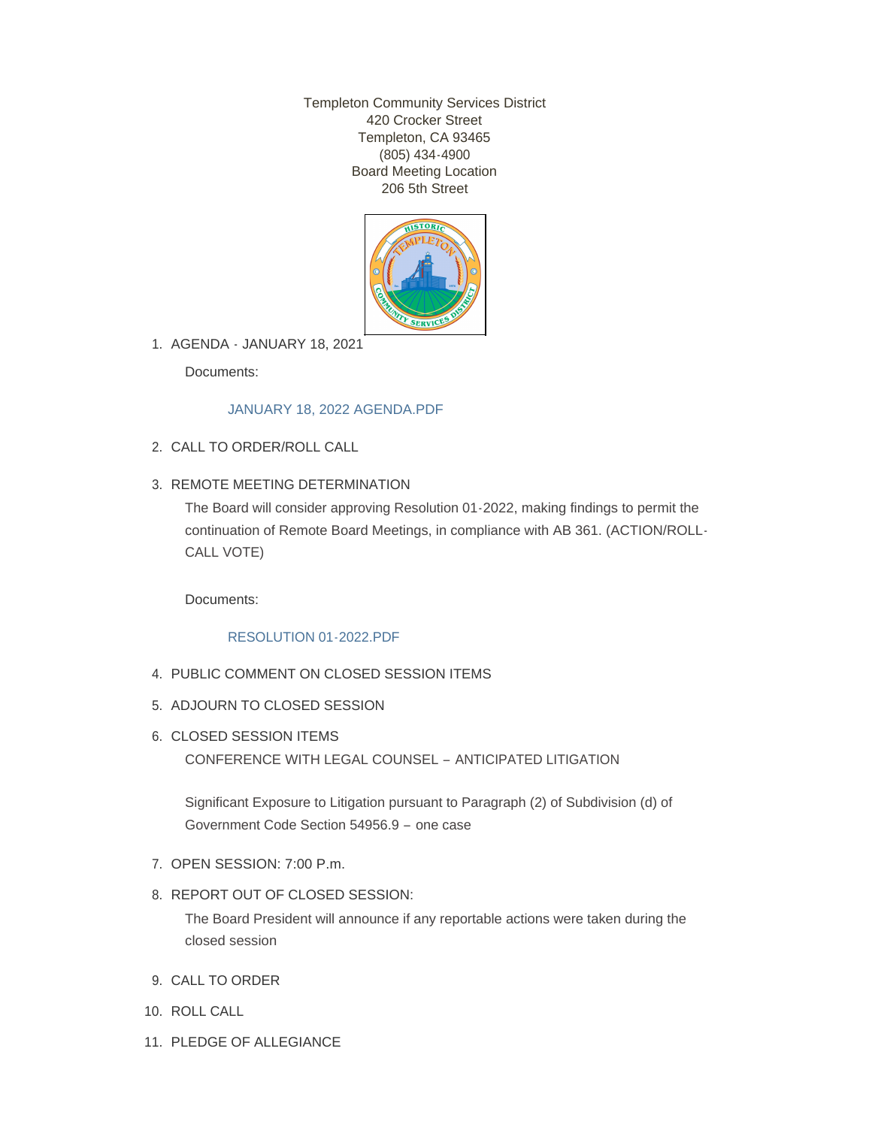Templeton Community Services District 420 Crocker Street Templeton, CA 93465 (805) 434-4900 Board Meeting Location 206 5th Street



AGENDA - JANUARY 18, 2021 1.

Documents:

# [JANUARY 18, 2022 AGENDA.PDF](http://templetoncsd.org/AgendaCenter/ViewFile/Item/4497?fileID=3147)

- CALL TO ORDER/ROLL CALL 2.
- 3. REMOTE MEETING DETERMINATION

The Board will consider approving Resolution 01-2022, making findings to permit the continuation of Remote Board Meetings, in compliance with AB 361. (ACTION/ROLL-CALL VOTE)

Documents:

# [RESOLUTION 01-2022.PDF](http://templetoncsd.org/AgendaCenter/ViewFile/Item/4483?fileID=3137)

- PUBLIC COMMENT ON CLOSED SESSION ITEMS 4.
- 5. ADJOURN TO CLOSED SESSION
- 6. CLOSED SESSION ITEMS

CONFERENCE WITH LEGAL COUNSEL – ANTICIPATED LITIGATION

Significant Exposure to Litigation pursuant to Paragraph (2) of Subdivision (d) of Government Code Section 54956.9 – one case

- 7. OPEN SESSION: 7:00 P.m.
- 8. REPORT OUT OF CLOSED SESSION:

The Board President will announce if any reportable actions were taken during the closed session

- 9. CALL TO ORDER
- 10. ROLL CALL
- 11. PLEDGE OF ALLEGIANCE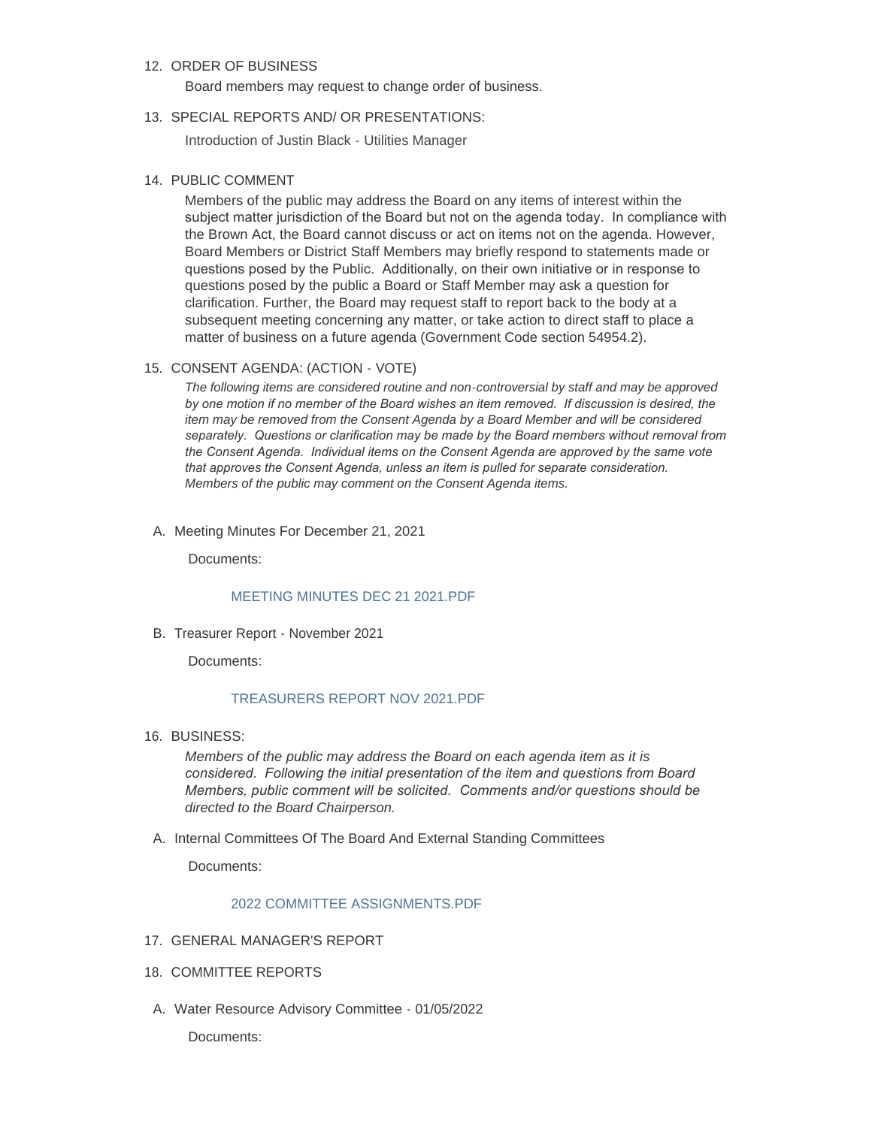## 12. ORDER OF BUSINESS

Board members may request to change order of business.

#### 13. SPECIAL REPORTS AND/ OR PRESENTATIONS:

Introduction of Justin Black - Utilities Manager

### 14. PUBLIC COMMENT

Members of the public may address the Board on any items of interest within the subject matter jurisdiction of the Board but not on the agenda today. In compliance with the Brown Act, the Board cannot discuss or act on items not on the agenda. However, Board Members or District Staff Members may briefly respond to statements made or questions posed by the Public. Additionally, on their own initiative or in response to questions posed by the public a Board or Staff Member may ask a question for clarification. Further, the Board may request staff to report back to the body at a subsequent meeting concerning any matter, or take action to direct staff to place a matter of business on a future agenda (Government Code section 54954.2).

#### 15. CONSENT AGENDA: (ACTION - VOTE)

*The following items are considered routine and non-controversial by staff and may be approved by one motion if no member of the Board wishes an item removed. If discussion is desired, the item may be removed from the Consent Agenda by a Board Member and will be considered separately. Questions or clarification may be made by the Board members without removal from the Consent Agenda. Individual items on the Consent Agenda are approved by the same vote that approves the Consent Agenda, unless an item is pulled for separate consideration. Members of the public may comment on the Consent Agenda items.*

A. Meeting Minutes For December 21, 2021

Documents:

### [MEETING MINUTES DEC 21 2021.PDF](http://templetoncsd.org/AgendaCenter/ViewFile/Item/4485?fileID=3138)

B. Treasurer Report - November 2021

Documents:

### [TREASURERS REPORT NOV 2021.PDF](http://templetoncsd.org/AgendaCenter/ViewFile/Item/4492?fileID=3143)

16. BUSINESS:

*Members of the public may address the Board on each agenda item as it is considered. Following the initial presentation of the item and questions from Board Members, public comment will be solicited. Comments and/or questions should be directed to the Board Chairperson.*

A. Internal Committees Of The Board And External Standing Committees

Documents:

#### 2022 COMMITTEE ASSIGNMENTS PDF

- 17. GENERAL MANAGER'S REPORT
- 18. COMMITTEE REPORTS
- A. Water Resource Advisory Committee 01/05/2022

Documents: